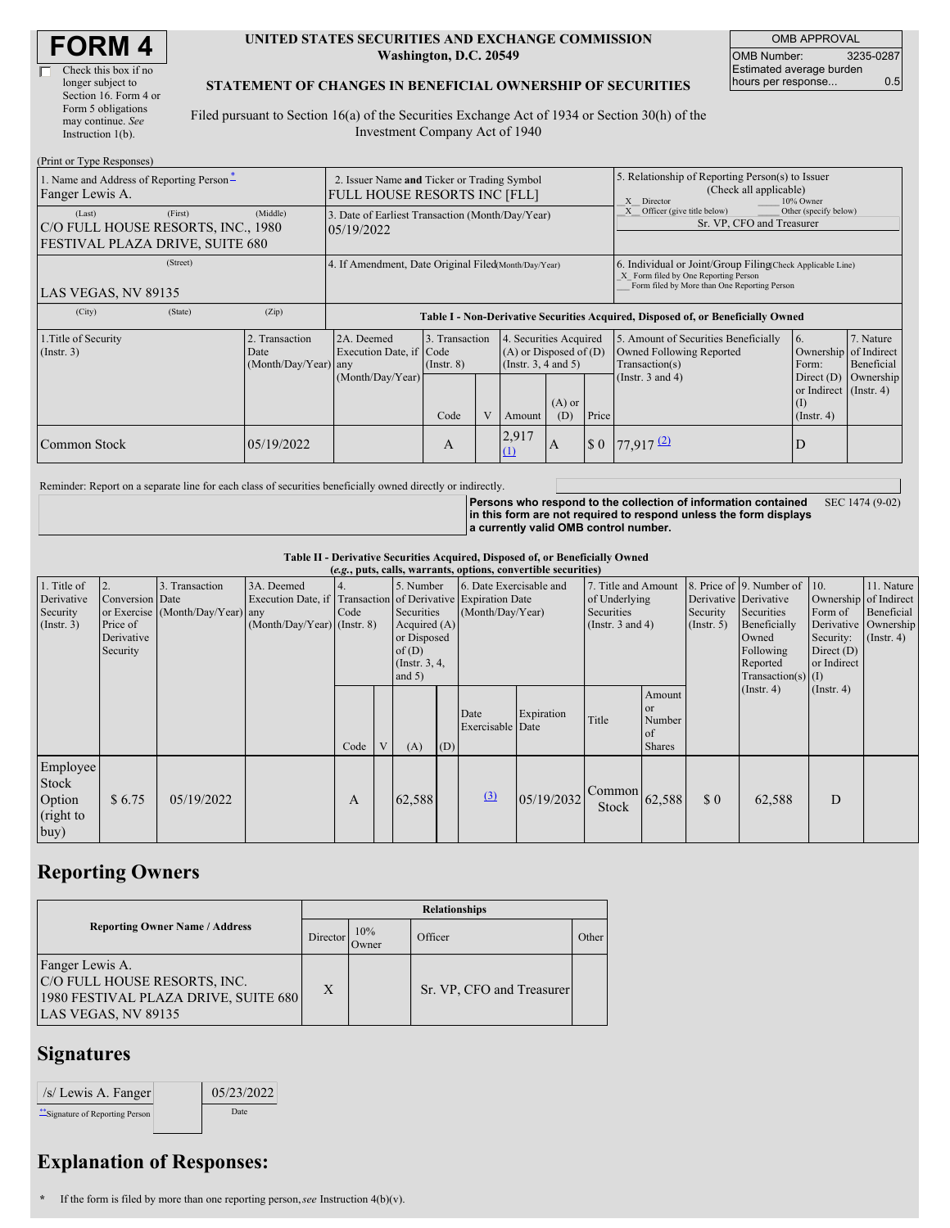| <b>FORM4</b> |
|--------------|
|--------------|

| Check this box if no  |
|-----------------------|
| longer subject to     |
| Section 16. Form 4 or |
| Form 5 obligations    |
| may continue. See     |
| Instruction 1(b).     |
|                       |

#### **UNITED STATES SECURITIES AND EXCHANGE COMMISSION Washington, D.C. 20549**

OMB APPROVAL OMB Number: 3235-0287 Estimated average burden hours per response... 0.5

### **STATEMENT OF CHANGES IN BENEFICIAL OWNERSHIP OF SECURITIES**

Filed pursuant to Section 16(a) of the Securities Exchange Act of 1934 or Section 30(h) of the Investment Company Act of 1940

| (Print or Type Responses)                                                                  |                                             |                                                                                    |                                           |  |                          |                                                                                                          |     |                                                                                                                                                    |                                                                                                           |                                      |  |
|--------------------------------------------------------------------------------------------|---------------------------------------------|------------------------------------------------------------------------------------|-------------------------------------------|--|--------------------------|----------------------------------------------------------------------------------------------------------|-----|----------------------------------------------------------------------------------------------------------------------------------------------------|-----------------------------------------------------------------------------------------------------------|--------------------------------------|--|
| 1. Name and Address of Reporting Person-<br>Fanger Lewis A.                                |                                             | 2. Issuer Name and Ticker or Trading Symbol<br><b>FULL HOUSE RESORTS INC [FLL]</b> |                                           |  |                          |                                                                                                          |     | 5. Relationship of Reporting Person(s) to Issuer<br>(Check all applicable)<br>10% Owner<br>X Director                                              |                                                                                                           |                                      |  |
| (First)<br>(Last)<br>C/O FULL HOUSE RESORTS, INC., 1980<br>FESTIVAL PLAZA DRIVE, SUITE 680 | (Middle)                                    | 3. Date of Earliest Transaction (Month/Day/Year)<br>05/19/2022                     |                                           |  |                          |                                                                                                          |     | Officer (give title below)<br>Other (specify below)<br>Sr. VP, CFO and Treasurer                                                                   |                                                                                                           |                                      |  |
| (Street)<br>LAS VEGAS, NV 89135                                                            |                                             | 4. If Amendment, Date Original Filed(Month/Day/Year)                               |                                           |  |                          |                                                                                                          |     | 6. Individual or Joint/Group Filing(Check Applicable Line)<br>X Form filed by One Reporting Person<br>Form filed by More than One Reporting Person |                                                                                                           |                                      |  |
| (City)<br>(State)                                                                          | (Zip)                                       |                                                                                    |                                           |  |                          |                                                                                                          |     | Table I - Non-Derivative Securities Acquired, Disposed of, or Beneficially Owned                                                                   |                                                                                                           |                                      |  |
| 1. Title of Security<br>$($ Instr. 3 $)$                                                   | Transaction<br>Date<br>(Month/Day/Year) any | 2A. Deemed<br>Execution Date, if Code<br>(Month/Day/Year)                          | 3. Transaction<br>$($ Instr. $8)$<br>Code |  | Amount                   | 4. Securities Acquired<br>$(A)$ or Disposed of $(D)$<br>(Insert. 3, 4 and 5)<br>$(A)$ or<br>(D)<br>Price |     | 5. Amount of Securities Beneficially<br>Owned Following Reported<br>Transaction(s)<br>(Instr. $3$ and $4$ )                                        | 6.<br>Ownership of Indirect<br>Form:<br>Direct $(D)$<br>or Indirect (Instr. 4)<br>(1)<br>$($ Instr. 4 $)$ | 7. Nature<br>Beneficial<br>Ownership |  |
| Common Stock                                                                               | 05/19/2022                                  |                                                                                    | A                                         |  | 2,917<br>- <u>(1</u> ) - | IA.                                                                                                      | \$0 | $77.917$ <sup>(2)</sup>                                                                                                                            | D                                                                                                         |                                      |  |

Reminder: Report on a separate line for each class of securities beneficially owned directly or indirectly.

**Persons who respond to the collection of information contained in this form are not required to respond unless the form displays a currently valid OMB control number.** SEC 1474 (9-02)

**Table II - Derivative Securities Acquired, Disposed of, or Beneficially Owned**

| (e.g., puts, calls, warrants, options, convertible securities) |                                                             |                                                    |                                                                                                           |      |   |                                                                                                   |     |                                             |            |                                                                             |                                                          |                         |                                                                                                                                           |                                                             |                                                                                            |
|----------------------------------------------------------------|-------------------------------------------------------------|----------------------------------------------------|-----------------------------------------------------------------------------------------------------------|------|---|---------------------------------------------------------------------------------------------------|-----|---------------------------------------------|------------|-----------------------------------------------------------------------------|----------------------------------------------------------|-------------------------|-------------------------------------------------------------------------------------------------------------------------------------------|-------------------------------------------------------------|--------------------------------------------------------------------------------------------|
| 1. Title of<br>Derivative<br>Security<br>(Insert. 3)           | 2.<br>Conversion Date<br>Price of<br>Derivative<br>Security | 3. Transaction<br>or Exercise (Month/Day/Year) any | 3A. Deemed<br>Execution Date, if Transaction of Derivative Expiration Date<br>(Month/Day/Year) (Instr. 8) | Code |   | 5. Number<br>Securities<br>Acquired $(A)$<br>or Disposed<br>of(D)<br>(Instr. $3, 4$ ,<br>and $5)$ |     | 6. Date Exercisable and<br>(Month/Day/Year) |            | 7. Title and Amount<br>of Underlying<br>Securities<br>(Instr. $3$ and $4$ ) |                                                          | Security<br>(Insert. 5) | 8. Price of 9. Number of<br>Derivative Derivative<br>Securities<br>Beneficially<br>Owned<br>Following<br>Reported<br>$Transaction(s)$ (I) | 110.<br>Form of<br>Security:<br>Direct $(D)$<br>or Indirect | 11. Nature<br>Ownership of Indirect<br>Beneficial<br>Derivative Ownership<br>$($ Instr. 4) |
|                                                                |                                                             |                                                    |                                                                                                           | Code | V | (A)                                                                                               | (D) | Date<br>Exercisable Date                    | Expiration | Title                                                                       | Amount<br><sub>or</sub><br>Number<br>of<br><b>Shares</b> |                         | $($ Instr. 4 $)$                                                                                                                          | $($ Instr. 4 $)$                                            |                                                                                            |
| Employee<br>Stock<br>Option<br>(right to<br> buy)              | \$6.75                                                      | 05/19/2022                                         |                                                                                                           | A    |   | 62,588                                                                                            |     | (3)                                         | 05/19/2032 | Common<br>Stock                                                             | 62,588                                                   | \$0                     | 62,588                                                                                                                                    | D                                                           |                                                                                            |

# **Reporting Owners**

|                                                                                                                | <b>Relationships</b> |              |                           |       |  |  |  |  |
|----------------------------------------------------------------------------------------------------------------|----------------------|--------------|---------------------------|-------|--|--|--|--|
| <b>Reporting Owner Name / Address</b>                                                                          | Director             | 10%<br>Owner | Officer                   | Other |  |  |  |  |
| Fanger Lewis A.<br>C/O FULL HOUSE RESORTS, INC.<br>1980 FESTIVAL PLAZA DRIVE, SUITE 680<br>LAS VEGAS, NV 89135 | $\mathbf{X}$         |              | Sr. VP, CFO and Treasurer |       |  |  |  |  |

# **Signatures**

| $/s$ Lewis A. Fanger          | 05/23/2022 |
|-------------------------------|------------|
| Signature of Reporting Person | Date       |

## **Explanation of Responses:**

**\*** If the form is filed by more than one reporting person,*see* Instruction 4(b)(v).